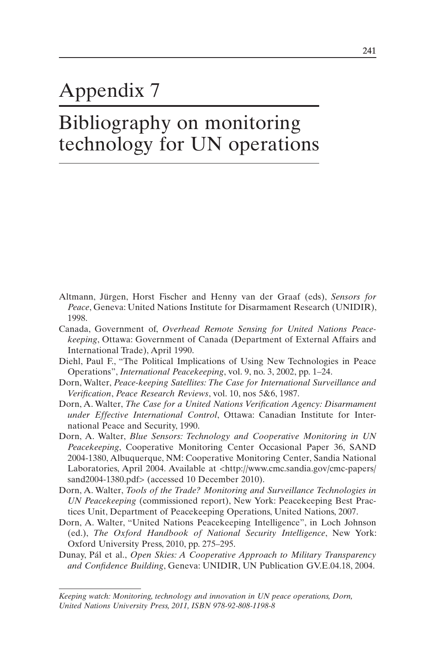## Appendix 7

## Bibliography on monitoring technology for UN operations

- Altmann, Jürgen, Horst Fischer and Henny van der Graaf (eds), *Sensors for Peace*, Geneva: United Nations Institute for Disarmament Research (UNIDIR), 1998.
- Canada, Government of, *Overhead Remote Sensing for United Nations Peacekeeping*, Ottawa: Government of Canada (Department of External Affairs and International Trade), April 1990.
- Diehl, Paul F., "The Political Implications of Using New Technologies in Peace Operations", *International Peacekeeping*, vol. 9, no. 3, 2002, pp. 1–24.
- Dorn, Walter, *Peace-keeping Satellites: The Case for International Surveillance and Verification*, *Peace Research Reviews*, vol. 10, nos 5&6, 1987.
- Dorn, A. Walter, *The Case for a United Nations Verification Agency: Disarmament under Effective International Control*, Ottawa: Canadian Institute for International Peace and Security, 1990.
- Dorn, A. Walter, *Blue Sensors: Technology and Cooperative Monitoring in UN Peacekeeping*, Cooperative Monitoring Center Occasional Paper 36, SAND 2004-1380, Albuquerque, NM: Cooperative Monitoring Center, Sandia National Laboratories, April 2004. Available at <http://www.cmc.sandia.gov/cmc-papers/ sand2004-1380.pdf> (accessed 10 December 2010).
- Dorn, A. Walter, *Tools of the Trade? Monitoring and Surveillance Technologies in UN Peacekeeping* (commissioned report), New York: Peacekeeping Best Practices Unit, Department of Peacekeeping Operations, United Nations, 2007.
- Dorn, A. Walter, "United Nations Peacekeeping Intelligence", in Loch Johnson (ed.), *The Oxford Handbook of National Security Intelligence*, New York: Oxford University Press, 2010, pp. 275–295.
- Dunay, Pál et al., *Open Skies: A Cooperative Approach to Military Transparency and Confidence Building*, Geneva: UNIDIR, UN Publication GV.E.04.18, 2004.

*Keeping watch: Monitoring, technology and innovation in UN peace operations, Dorn, United Nations University Press, 2011, ISBN 978-92-808-1198-8*